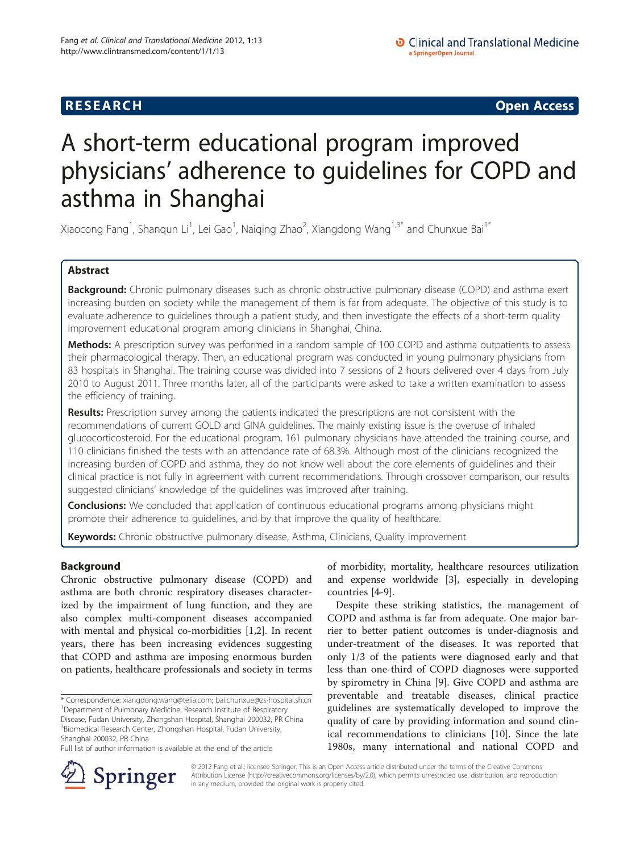**RESEARCH CHINESE ARCH CHINESE ARCH CHINESE ARCH <b>CHINESE ARCH** 

# A short-term educational program improved physicians' adherence to guidelines for COPD and asthma in Shanghai

Xiaocong Fang<sup>1</sup>, Shanqun Li<sup>1</sup>, Lei Gao<sup>1</sup>, Naiqing Zhao<sup>2</sup>, Xiangdong Wang<sup>1,3\*</sup> and Chunxue Bai<sup>1\*</sup>

# Abstract

Background: Chronic pulmonary diseases such as chronic obstructive pulmonary disease (COPD) and asthma exert increasing burden on society while the management of them is far from adequate. The objective of this study is to evaluate adherence to guidelines through a patient study, and then investigate the effects of a short-term quality improvement educational program among clinicians in Shanghai, China.

Methods: A prescription survey was performed in a random sample of 100 COPD and asthma outpatients to assess their pharmacological therapy. Then, an educational program was conducted in young pulmonary physicians from 83 hospitals in Shanghai. The training course was divided into 7 sessions of 2 hours delivered over 4 days from July 2010 to August 2011. Three months later, all of the participants were asked to take a written examination to assess the efficiency of training.

Results: Prescription survey among the patients indicated the prescriptions are not consistent with the recommendations of current GOLD and GINA guidelines. The mainly existing issue is the overuse of inhaled glucocorticosteroid. For the educational program, 161 pulmonary physicians have attended the training course, and 110 clinicians finished the tests with an attendance rate of 68.3%. Although most of the clinicians recognized the increasing burden of COPD and asthma, they do not know well about the core elements of guidelines and their clinical practice is not fully in agreement with current recommendations. Through crossover comparison, our results suggested clinicians' knowledge of the guidelines was improved after training.

**Conclusions:** We concluded that application of continuous educational programs among physicians might promote their adherence to guidelines, and by that improve the quality of healthcare.

Keywords: Chronic obstructive pulmonary disease, Asthma, Clinicians, Quality improvement

# Background

Chronic obstructive pulmonary disease (COPD) and asthma are both chronic respiratory diseases characterized by the impairment of lung function, and they are also complex multi-component diseases accompanied with mental and physical co-morbidities [[1](#page-10-0),[2](#page-10-0)]. In recent years, there has been increasing evidences suggesting that COPD and asthma are imposing enormous burden on patients, healthcare professionals and society in terms

of morbidity, mortality, healthcare resources utilization and expense worldwide [[3\]](#page-10-0), especially in developing countries [[4-9](#page-10-0)].

Despite these striking statistics, the management of COPD and asthma is far from adequate. One major barrier to better patient outcomes is under-diagnosis and under-treatment of the diseases. It was reported that only 1/3 of the patients were diagnosed early and that less than one-third of COPD diagnoses were supported by spirometry in China [\[9\]](#page-10-0). Give COPD and asthma are preventable and treatable diseases, clinical practice guidelines are systematically developed to improve the quality of care by providing information and sound clinical recommendations to clinicians [\[10](#page-10-0)]. Since the late 1980s, many international and national COPD and



© 2012 Fang et al.; licensee Springer. This is an Open Access article distributed under the terms of the Creative Commons Attribution License [\(http://creativecommons.org/licenses/by/2.0\)](http://creativecommons.org/licenses/by/2.0), which permits unrestricted use, distribution, and reproduction in any medium, provided the original work is properly cited.

<sup>\*</sup> Correspondence: [xiangdong.wang@telia.com](mailto:xiangdong.wang@telia.com); [bai.chunxue@zs-hospital.sh.cn](mailto:bai.chunxue@zs-hospital.sh.cn) <sup>1</sup> <sup>1</sup>Department of Pulmonary Medicine, Research Institute of Respiratory Disease, Fudan University, Zhongshan Hospital, Shanghai 200032, PR China 3 Biomedical Research Center, Zhongshan Hospital, Fudan University, Shanghai 200032, PR China

Full list of author information is available at the end of the article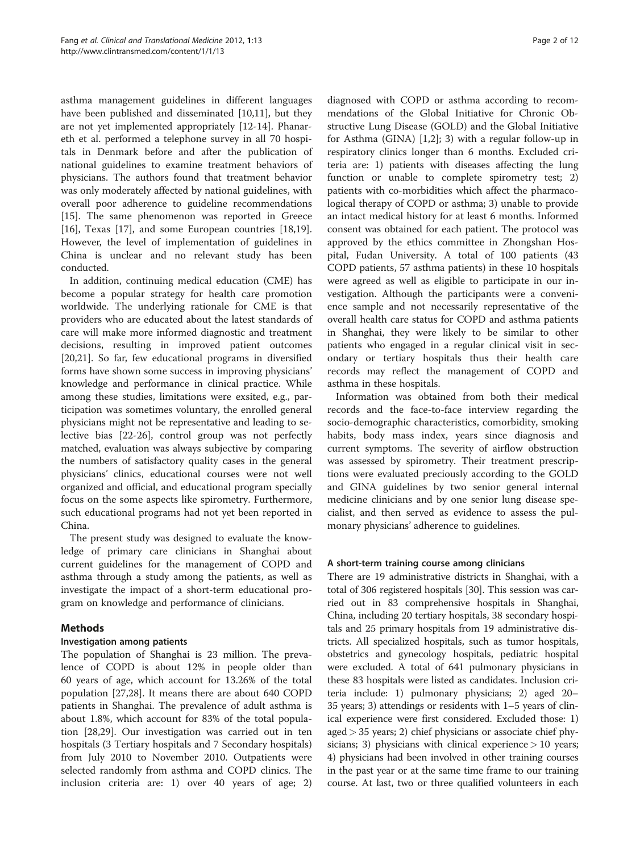asthma management guidelines in different languages have been published and disseminated [[10,11\]](#page-10-0), but they are not yet implemented appropriately [[12-14](#page-10-0)]. Phanareth et al. performed a telephone survey in all 70 hospitals in Denmark before and after the publication of national guidelines to examine treatment behaviors of physicians. The authors found that treatment behavior was only moderately affected by national guidelines, with overall poor adherence to guideline recommendations [[15\]](#page-10-0). The same phenomenon was reported in Greece [[16\]](#page-10-0), Texas [\[17](#page-10-0)], and some European countries [\[18](#page-10-0)[,19](#page-11-0)]. However, the level of implementation of guidelines in China is unclear and no relevant study has been conducted.

In addition, continuing medical education (CME) has become a popular strategy for health care promotion worldwide. The underlying rationale for CME is that providers who are educated about the latest standards of care will make more informed diagnostic and treatment decisions, resulting in improved patient outcomes [[20,21\]](#page-11-0). So far, few educational programs in diversified forms have shown some success in improving physicians' knowledge and performance in clinical practice. While among these studies, limitations were exsited, e.g., participation was sometimes voluntary, the enrolled general physicians might not be representative and leading to selective bias [\[22-26](#page-11-0)], control group was not perfectly matched, evaluation was always subjective by comparing the numbers of satisfactory quality cases in the general physicians' clinics, educational courses were not well organized and official, and educational program specially focus on the some aspects like spirometry. Furthermore, such educational programs had not yet been reported in China.

The present study was designed to evaluate the knowledge of primary care clinicians in Shanghai about current guidelines for the management of COPD and asthma through a study among the patients, as well as investigate the impact of a short-term educational program on knowledge and performance of clinicians.

# Methods

# Investigation among patients

The population of Shanghai is 23 million. The prevalence of COPD is about 12% in people older than 60 years of age, which account for 13.26% of the total population [\[27,28](#page-11-0)]. It means there are about 640 COPD patients in Shanghai. The prevalence of adult asthma is about 1.8%, which account for 83% of the total population [\[28,29\]](#page-11-0). Our investigation was carried out in ten hospitals (3 Tertiary hospitals and 7 Secondary hospitals) from July 2010 to November 2010. Outpatients were selected randomly from asthma and COPD clinics. The inclusion criteria are: 1) over 40 years of age; 2)

diagnosed with COPD or asthma according to recommendations of the Global Initiative for Chronic Obstructive Lung Disease (GOLD) and the Global Initiative for Asthma (GINA) [[1](#page-10-0),[2](#page-10-0)]; 3) with a regular follow-up in respiratory clinics longer than 6 months. Excluded criteria are: 1) patients with diseases affecting the lung function or unable to complete spirometry test; 2) patients with co-morbidities which affect the pharmacological therapy of COPD or asthma; 3) unable to provide an intact medical history for at least 6 months. Informed consent was obtained for each patient. The protocol was approved by the ethics committee in Zhongshan Hospital, Fudan University. A total of 100 patients (43 COPD patients, 57 asthma patients) in these 10 hospitals were agreed as well as eligible to participate in our investigation. Although the participants were a convenience sample and not necessarily representative of the overall health care status for COPD and asthma patients in Shanghai, they were likely to be similar to other patients who engaged in a regular clinical visit in secondary or tertiary hospitals thus their health care records may reflect the management of COPD and asthma in these hospitals.

Information was obtained from both their medical records and the face-to-face interview regarding the socio-demographic characteristics, comorbidity, smoking habits, body mass index, years since diagnosis and current symptoms. The severity of airflow obstruction was assessed by spirometry. Their treatment prescriptions were evaluated preciously according to the GOLD and GINA guidelines by two senior general internal medicine clinicians and by one senior lung disease specialist, and then served as evidence to assess the pulmonary physicians' adherence to guidelines.

# A short-term training course among clinicians

There are 19 administrative districts in Shanghai, with a total of 306 registered hospitals [\[30\]](#page-11-0). This session was carried out in 83 comprehensive hospitals in Shanghai, China, including 20 tertiary hospitals, 38 secondary hospitals and 25 primary hospitals from 19 administrative districts. All specialized hospitals, such as tumor hospitals, obstetrics and gynecology hospitals, pediatric hospital were excluded. A total of 641 pulmonary physicians in these 83 hospitals were listed as candidates. Inclusion criteria include: 1) pulmonary physicians; 2) aged 20– 35 years; 3) attendings or residents with 1–5 years of clinical experience were first considered. Excluded those: 1) aged > 35 years; 2) chief physicians or associate chief physicians; 3) physicians with clinical experience  $> 10$  years; 4) physicians had been involved in other training courses in the past year or at the same time frame to our training course. At last, two or three qualified volunteers in each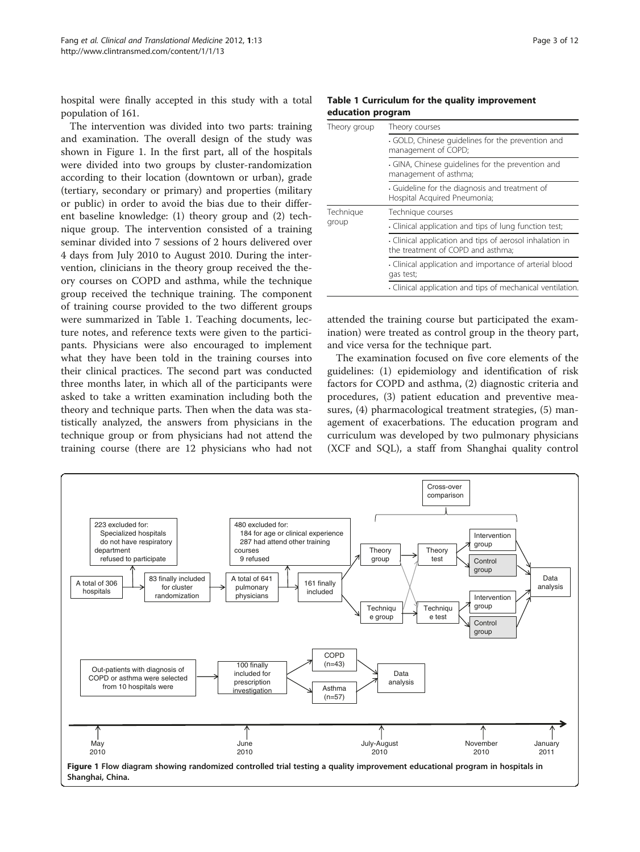hospital were finally accepted in this study with a total population of 161.

The intervention was divided into two parts: training and examination. The overall design of the study was shown in Figure 1. In the first part, all of the hospitals were divided into two groups by cluster-randomization according to their location (downtown or urban), grade (tertiary, secondary or primary) and properties (military or public) in order to avoid the bias due to their different baseline knowledge: (1) theory group and (2) technique group. The intervention consisted of a training seminar divided into 7 sessions of 2 hours delivered over 4 days from July 2010 to August 2010. During the intervention, clinicians in the theory group received the theory courses on COPD and asthma, while the technique group received the technique training. The component of training course provided to the two different groups were summarized in Table 1. Teaching documents, lecture notes, and reference texts were given to the participants. Physicians were also encouraged to implement what they have been told in the training courses into their clinical practices. The second part was conducted three months later, in which all of the participants were asked to take a written examination including both the theory and technique parts. Then when the data was statistically analyzed, the answers from physicians in the technique group or from physicians had not attend the training course (there are 12 physicians who had not

#### Table 1 Curriculum for the quality improvement education program

| Theory group       | Theory courses                                                                              |  |  |
|--------------------|---------------------------------------------------------------------------------------------|--|--|
|                    | GOLD, Chinese quidelines for the prevention and<br>management of COPD;                      |  |  |
|                    | GINA, Chinese quidelines for the prevention and<br>management of asthma;                    |  |  |
|                    | · Guideline for the diagnosis and treatment of<br>Hospital Acquired Pneumonia;              |  |  |
| Technique<br>group | Technique courses                                                                           |  |  |
|                    | Clinical application and tips of lung function test;                                        |  |  |
|                    | Clinical application and tips of aerosol inhalation in<br>the treatment of COPD and asthma: |  |  |
|                    | Clinical application and importance of arterial blood<br>gas test;                          |  |  |
|                    | Clinical application and tips of mechanical ventilation.                                    |  |  |

attended the training course but participated the examination) were treated as control group in the theory part, and vice versa for the technique part.

The examination focused on five core elements of the guidelines: (1) epidemiology and identification of risk factors for COPD and asthma, (2) diagnostic criteria and procedures, (3) patient education and preventive measures, (4) pharmacological treatment strategies, (5) management of exacerbations. The education program and curriculum was developed by two pulmonary physicians (XCF and SQL), a staff from Shanghai quality control

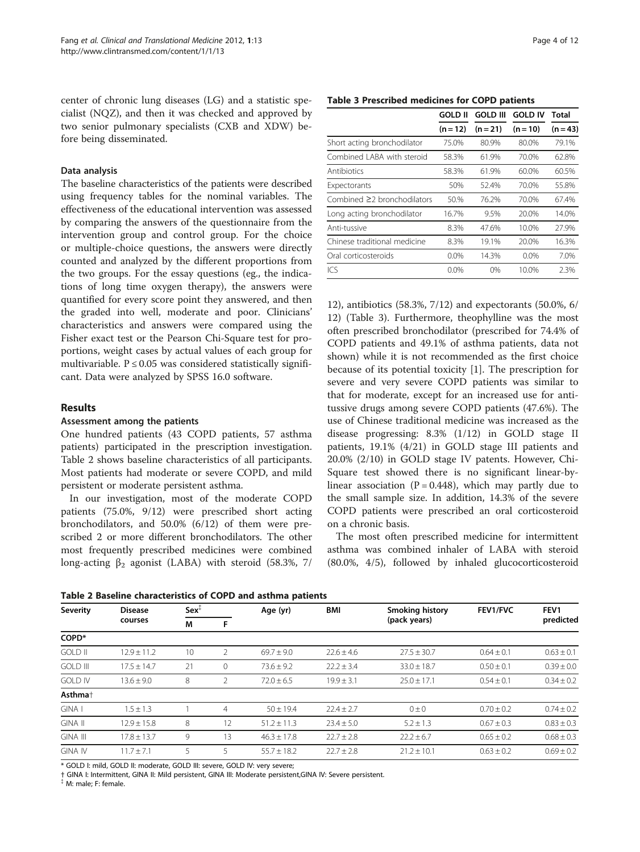<span id="page-3-0"></span>center of chronic lung diseases (LG) and a statistic specialist (NQZ), and then it was checked and approved by two senior pulmonary specialists (CXB and XDW) before being disseminated.

### Data analysis

The baseline characteristics of the patients were described using frequency tables for the nominal variables. The effectiveness of the educational intervention was assessed by comparing the answers of the questionnaire from the intervention group and control group. For the choice or multiple-choice questions, the answers were directly counted and analyzed by the different proportions from the two groups. For the essay questions (eg., the indications of long time oxygen therapy), the answers were quantified for every score point they answered, and then the graded into well, moderate and poor. Clinicians' characteristics and answers were compared using the Fisher exact test or the Pearson Chi-Square test for proportions, weight cases by actual values of each group for multivariable.  $P \le 0.05$  was considered statistically significant. Data were analyzed by SPSS 16.0 software.

#### Results

#### Assessment among the patients

One hundred patients (43 COPD patients, 57 asthma patients) participated in the prescription investigation. Table 2 shows baseline characteristics of all participants. Most patients had moderate or severe COPD, and mild persistent or moderate persistent asthma.

In our investigation, most of the moderate COPD patients (75.0%, 9/12) were prescribed short acting bronchodilators, and 50.0% (6/12) of them were prescribed 2 or more different bronchodilators. The other most frequently prescribed medicines were combined long-acting  $β_2$  agonist (LABA) with steroid (58.3%, 7/

|  | Page 4 of 12 |  |  |  |
|--|--------------|--|--|--|
|--|--------------|--|--|--|

#### Table 3 Prescribed medicines for COPD patients

|                              | <b>GOLD II</b> | <b>GOLD III</b> | <b>GOLD IV</b> | Total      |
|------------------------------|----------------|-----------------|----------------|------------|
|                              | $(n = 12)$     | $(n = 21)$      | $(n = 10)$     | $(n = 43)$ |
| Short acting bronchodilator  | 75.0%          | 80.9%           | 80.0%          | 79.1%      |
| Combined LABA with steroid   | 58.3%          | 61.9%           | 70.0%          | 62.8%      |
| Antibiotics                  | 58.3%          | 61.9%           | 60.0%          | 60.5%      |
| Expectorants                 | 50%            | 52.4%           | 70.0%          | 55.8%      |
| Combined ≥2 bronchodilators  | 50.%           | 76.2%           | 70.0%          | 67.4%      |
| Long acting bronchodilator   | 16.7%          | 9.5%            | 20.0%          | 14.0%      |
| Anti-tussive                 | 8.3%           | 47.6%           | 10.0%          | 27.9%      |
| Chinese traditional medicine | 8.3%           | 19.1%           | 20.0%          | 16.3%      |
| Oral corticosteroids         | $0.0\%$        | 14.3%           | $0.0\%$        | 7.0%       |
| ICS                          | $0.0\%$        | 0%              | 10.0%          | 2.3%       |

12), antibiotics (58.3%, 7/12) and expectorants (50.0%, 6/ 12) (Table 3). Furthermore, theophylline was the most often prescribed bronchodilator (prescribed for 74.4% of COPD patients and 49.1% of asthma patients, data not shown) while it is not recommended as the first choice because of its potential toxicity [[1\]](#page-10-0). The prescription for severe and very severe COPD patients was similar to that for moderate, except for an increased use for antitussive drugs among severe COPD patients (47.6%). The use of Chinese traditional medicine was increased as the disease progressing: 8.3% (1/12) in GOLD stage II patients, 19.1% (4/21) in GOLD stage III patients and 20.0% (2/10) in GOLD stage IV patents. However, Chi-Square test showed there is no significant linear-bylinear association  $(P = 0.448)$ , which may partly due to the small sample size. In addition, 14.3% of the severe COPD patients were prescribed an oral corticosteroid on a chronic basis.

The most often prescribed medicine for intermittent asthma was combined inhaler of LABA with steroid (80.0%, 4/5), followed by inhaled glucocorticosteroid

Table 2 Baseline characteristics of COPD and asthma patients

| Severity            | <b>Disease</b>  | $Sex^T$                |          | Age (yr)        | BMI            | <b>Smoking history</b> | <b>FEV1/FVC</b> | FEV1           |
|---------------------|-----------------|------------------------|----------|-----------------|----------------|------------------------|-----------------|----------------|
|                     | courses         | (pack years)<br>M<br>F |          |                 |                | predicted              |                 |                |
| COPD*               |                 |                        |          |                 |                |                        |                 |                |
| <b>GOLD II</b>      | $12.9 + 11.2$   | 10                     |          | $69.7 + 9.0$    | $22.6 \pm 4.6$ | $27.5 \pm 30.7$        | $0.64 \pm 0.1$  | $0.63 \pm 0.1$ |
| <b>GOLD III</b>     | $17.5 \pm 14.7$ | 21                     | $\Omega$ | $73.6 \pm 9.2$  | $22.2 \pm 3.4$ | $33.0 \pm 18.7$        | $0.50 \pm 0.1$  | $0.39 \pm 0.0$ |
| <b>GOLD IV</b>      | $13.6 \pm 9.0$  | 8                      | 2        | $72.0 \pm 6.5$  | $19.9 \pm 3.1$ | $25.0 \pm 17.1$        | $0.54 \pm 0.1$  | $0.34 \pm 0.2$ |
| Asthma <sup>+</sup> |                 |                        |          |                 |                |                        |                 |                |
| GINA I              | $1.5 + 1.3$     |                        | 4        | $50 \pm 19.4$   | $22.4 \pm 2.7$ | $0 \pm 0$              | $0.70 \pm 0.2$  | $0.74 \pm 0.2$ |
| <b>GINA II</b>      | $12.9 + 15.8$   | 8                      | 12       | $51.2 \pm 11.3$ | $23.4 + 5.0$   | $5.2 \pm 1.3$          | $0.67 + 0.3$    | $0.83 \pm 0.3$ |
| <b>GINA III</b>     | $17.8 \pm 13.7$ | 9                      | 13       | $46.3 + 17.8$   | $22.7 \pm 2.8$ | $22.2 \pm 6.7$         | $0.65 \pm 0.2$  | $0.68 \pm 0.3$ |
| <b>GINA IV</b>      | $11.7 + 7.1$    |                        |          | $55.7 + 18.2$   | $22.7 + 2.8$   | $21.2 + 10.1$          | $0.63 + 0.2$    | $0.69 + 0.2$   |

\* GOLD I: mild, GOLD II: moderate, GOLD III: severe, GOLD IV: very severe;

† GINA I: Intermittent, GINA II: Mild persistent, GINA III: Moderate persistent,GINA IV: Severe persistent.

{ M: male; F: female.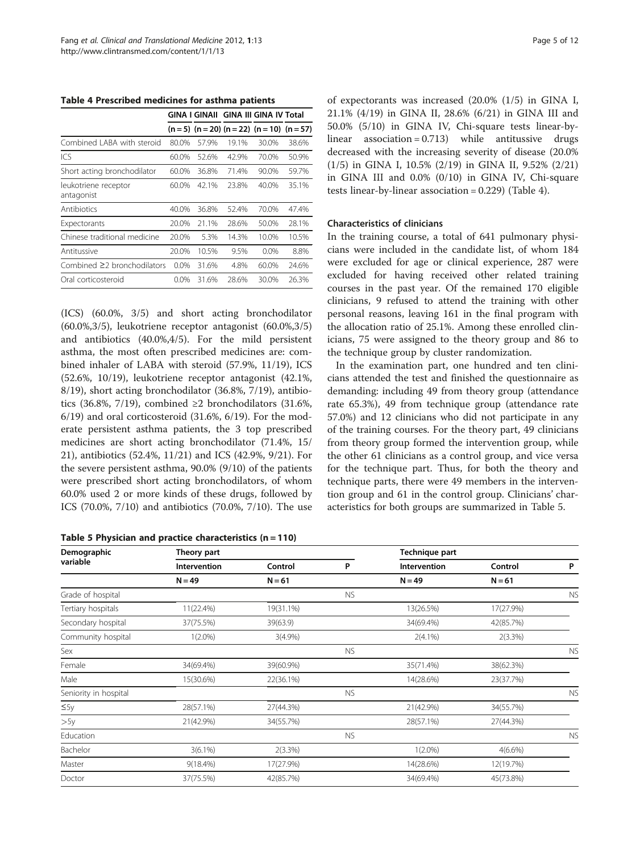Table 4 Prescribed medicines for asthma patients

|                                    |         | GINA I GINAII |       | <b>GINA III GINA IV Total</b>               |       |
|------------------------------------|---------|---------------|-------|---------------------------------------------|-------|
|                                    |         |               |       | $(n=5)$ $(n=20)$ $(n=22)$ $(n=10)$ $(n=57)$ |       |
| Combined LABA with steroid         | 80.0%   | 57.9%         | 19.1% | 30.0%                                       | 38.6% |
| ICS                                | 60.0%   | 52.6%         | 42.9% | 70.0%                                       | 50.9% |
| Short acting bronchodilator        | 60.0%   | 36.8%         | 71.4% | $90.0\%$                                    | 59.7% |
| leukotriene receptor<br>antagonist | 60.0%   | 42.1%         | 23.8% | 40.0%                                       | 35.1% |
| Antibiotics                        | 40.0%   | 36.8%         | 52.4% | 70.0%                                       | 47.4% |
| Expectorants                       | 20.0%   | 21.1%         | 28.6% | 50.0%                                       | 28.1% |
| Chinese traditional medicine       | 20.0%   | 5.3%          | 14.3% | 10.0%                                       | 10.5% |
| Antitussive                        | 20.0%   | 10.5%         | 9.5%  | $0.0\%$                                     | 8.8%  |
| Combined $\geq$ bronchodilators    | $0.0\%$ | 31.6%         | 4.8%  | 60.0%                                       | 24.6% |
| Oral corticosteroid                | $0.0\%$ | 31.6%         | 28.6% | 30.0%                                       | 26.3% |

(ICS) (60.0%, 3/5) and short acting bronchodilator (60.0%,3/5), leukotriene receptor antagonist (60.0%,3/5) and antibiotics (40.0%,4/5). For the mild persistent asthma, the most often prescribed medicines are: combined inhaler of LABA with steroid (57.9%, 11/19), ICS (52.6%, 10/19), leukotriene receptor antagonist (42.1%, 8/19), short acting bronchodilator (36.8%, 7/19), antibiotics (36.8%, 7/19), combined ≥2 bronchodilators (31.6%, 6/19) and oral corticosteroid (31.6%, 6/19). For the moderate persistent asthma patients, the 3 top prescribed medicines are short acting bronchodilator (71.4%, 15/ 21), antibiotics (52.4%, 11/21) and ICS (42.9%, 9/21). For the severe persistent asthma, 90.0% (9/10) of the patients were prescribed short acting bronchodilators, of whom 60.0% used 2 or more kinds of these drugs, followed by ICS (70.0%, 7/10) and antibiotics (70.0%, 7/10). The use

Table 5 Physician and practice characteristics (n = 110)

of expectorants was increased (20.0% (1/5) in GINA I, 21.1% (4/19) in GINA II, 28.6% (6/21) in GINA III and 50.0% (5/10) in GINA IV, Chi-square tests linear-bylinear association = 0.713) while antitussive drugs decreased with the increasing severity of disease (20.0% (1/5) in GINA I, 10.5% (2/19) in GINA II, 9.52% (2/21) in GINA III and 0.0% (0/10) in GINA IV, Chi-square tests linear-by-linear association = 0.229) (Table 4).

#### Characteristics of clinicians

In the training course, a total of 641 pulmonary physicians were included in the candidate list, of whom 184 were excluded for age or clinical experience, 287 were excluded for having received other related training courses in the past year. Of the remained 170 eligible clinicians, 9 refused to attend the training with other personal reasons, leaving 161 in the final program with the allocation ratio of 25.1%. Among these enrolled clinicians, 75 were assigned to the theory group and 86 to the technique group by cluster randomization.

In the examination part, one hundred and ten clinicians attended the test and finished the questionnaire as demanding: including 49 from theory group (attendance rate 65.3%), 49 from technique group (attendance rate 57.0%) and 12 clinicians who did not participate in any of the training courses. For the theory part, 49 clinicians from theory group formed the intervention group, while the other 61 clinicians as a control group, and vice versa for the technique part. Thus, for both the theory and technique parts, there were 49 members in the intervention group and 61 in the control group. Clinicians' characteristics for both groups are summarized in Table 5.

| Demographic           | Theory part  |            |           | Technique part |            |           |
|-----------------------|--------------|------------|-----------|----------------|------------|-----------|
| variable              | Intervention | Control    | P         | Intervention   | Control    | P         |
|                       | $N = 49$     | $N = 61$   |           | $N = 49$       | $N = 61$   |           |
| Grade of hospital     |              |            | <b>NS</b> |                |            | <b>NS</b> |
| Tertiary hospitals    | 11(22.4%)    | 19(31.1%)  |           | 13(26.5%)      | 17(27.9%)  |           |
| Secondary hospital    | 37(75.5%)    | 39(63.9)   |           | 34(69.4%)      | 42(85.7%)  |           |
| Community hospital    | $1(2.0\%)$   | $3(4.9\%)$ |           | $2(4.1\%)$     | 2(3.3%)    |           |
| Sex                   |              |            | <b>NS</b> |                |            | <b>NS</b> |
| Female                | 34(69.4%)    | 39(60.9%)  |           | 35(71.4%)      | 38(62.3%)  |           |
| Male                  | 15(30.6%)    | 22(36.1%)  |           | 14(28.6%)      | 23(37.7%)  |           |
| Seniority in hospital |              |            | <b>NS</b> |                |            | <b>NS</b> |
| $\leq$ 5y             | 28(57.1%)    | 27(44.3%)  |           | 21(42.9%)      | 34(55.7%)  |           |
| >5y                   | 21(42.9%)    | 34(55.7%)  |           | 28(57.1%)      | 27(44.3%)  |           |
| Education             |              |            | <b>NS</b> |                |            | <b>NS</b> |
| Bachelor              | $3(6.1\%)$   | 2(3.3%)    |           | $1(2.0\%)$     | $4(6.6\%)$ |           |
| Master                | $9(18.4\%)$  | 17(27.9%)  |           | 14(28.6%)      | 12(19.7%)  |           |
| Doctor                | 37(75.5%)    | 42(85.7%)  |           | 34(69.4%)      | 45(73.8%)  |           |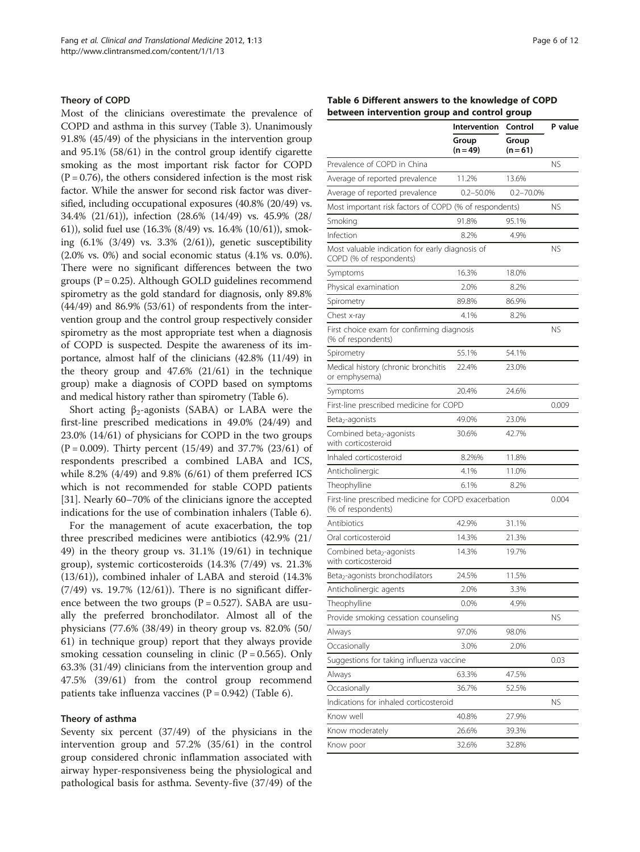#### <span id="page-5-0"></span>Theory of COPD

Most of the clinicians overestimate the prevalence of COPD and asthma in this survey (Table [3\)](#page-3-0). Unanimously 91.8% (45/49) of the physicians in the intervention group and 95.1% (58/61) in the control group identify cigarette smoking as the most important risk factor for COPD  $(P = 0.76)$ , the others considered infection is the most risk factor. While the answer for second risk factor was diversified, including occupational exposures (40.8% (20/49) vs. 34.4% (21/61)), infection (28.6% (14/49) vs. 45.9% (28/ 61)), solid fuel use (16.3% (8/49) vs. 16.4% (10/61)), smoking (6.1% (3/49) vs. 3.3% (2/61)), genetic susceptibility (2.0% vs. 0%) and social economic status (4.1% vs. 0.0%). There were no significant differences between the two groups ( $P = 0.25$ ). Although GOLD guidelines recommend spirometry as the gold standard for diagnosis, only 89.8% (44/49) and 86.9% (53/61) of respondents from the intervention group and the control group respectively consider spirometry as the most appropriate test when a diagnosis of COPD is suspected. Despite the awareness of its importance, almost half of the clinicians (42.8% (11/49) in the theory group and 47.6% (21/61) in the technique group) make a diagnosis of COPD based on symptoms and medical history rather than spirometry (Table 6).

Short acting  $\beta_2$ -agonists (SABA) or LABA were the first-line prescribed medications in 49.0% (24/49) and 23.0% (14/61) of physicians for COPD in the two groups  $(P = 0.009)$ . Thirty percent  $(15/49)$  and 37.7%  $(23/61)$  of respondents prescribed a combined LABA and ICS, while 8.2% (4/49) and 9.8% (6/61) of them preferred ICS which is not recommended for stable COPD patients [[31\]](#page-11-0). Nearly 60–70% of the clinicians ignore the accepted indications for the use of combination inhalers (Table 6).

For the management of acute exacerbation, the top three prescribed medicines were antibiotics (42.9% (21/ 49) in the theory group vs. 31.1% (19/61) in technique group), systemic corticosteroids (14.3% (7/49) vs. 21.3% (13/61)), combined inhaler of LABA and steroid (14.3% (7/49) vs. 19.7% (12/61)). There is no significant difference between the two groups ( $P = 0.527$ ). SABA are usually the preferred bronchodilator. Almost all of the physicians (77.6% (38/49) in theory group vs. 82.0% (50/ 61) in technique group) report that they always provide smoking cessation counseling in clinic  $(P = 0.565)$ . Only 63.3% (31/49) clinicians from the intervention group and 47.5% (39/61) from the control group recommend patients take influenza vaccines  $(P = 0.942)$  (Table 6).

#### Theory of asthma

Seventy six percent (37/49) of the physicians in the intervention group and 57.2% (35/61) in the control group considered chronic inflammation associated with airway hyper-responsiveness being the physiological and pathological basis for asthma. Seventy-five (37/49) of the

#### Table 6 Different answers to the knowledge of COPD between intervention group and control group

|                                                                            | Intervention  | Control        | P value   |
|----------------------------------------------------------------------------|---------------|----------------|-----------|
|                                                                            | Group         | Group          |           |
|                                                                            | $(n = 49)$    | $(n=61)$       |           |
| Prevalence of COPD in China                                                |               |                | <b>NS</b> |
| Average of reported prevalence                                             | 11.2%         | 13.6%          |           |
| Average of reported prevalence                                             | $0.2 - 50.0%$ | $0.2 - 70.0\%$ |           |
| Most important risk factors of COPD (% of respondents)                     |               |                | NS.       |
| Smoking                                                                    | 91.8%         | 95.1%          |           |
| Infection                                                                  | 8.2%          | 4.9%           |           |
| Most valuable indication for early diagnosis of<br>COPD (% of respondents) |               |                | <b>NS</b> |
| Symptoms                                                                   | 16.3%         | 18.0%          |           |
| Physical examination                                                       | 2.0%          | 8.2%           |           |
| Spirometry                                                                 | 89.8%         | 86.9%          |           |
| Chest x-ray                                                                | 4.1%          | 8.2%           |           |
| First choice exam for confirming diagnosis<br>(% of respondents)           |               |                | <b>NS</b> |
| Spirometry                                                                 | 55.1%         | 54.1%          |           |
| Medical history (chronic bronchitis<br>or emphysema)                       | 22.4%         | 23.0%          |           |
| Symptoms                                                                   | 20.4%         | 24.6%          |           |
| First-line prescribed medicine for COPD                                    |               |                | 0.009     |
| Beta <sub>2</sub> -agonists                                                | 49.0%         | 23.0%          |           |
| Combined beta <sub>2</sub> -agonists<br>with corticosteroid                | 30.6%         | 42.7%          |           |
| Inhaled corticosteroid                                                     | 8.2%%         | 11.8%          |           |
| Anticholinergic                                                            | 4.1%          | 11.0%          |           |
| Theophylline                                                               | 6.1%          | 8.2%           |           |
| First-line prescribed medicine for COPD exacerbation<br>(% of respondents) |               |                | 0.004     |
| Antibiotics                                                                | 42.9%         | 31.1%          |           |
| Oral corticosteroid                                                        | 14.3%         | 21.3%          |           |
| Combined beta <sub>2</sub> -agonists<br>with corticosteroid                | 14.3%         | 19.7%          |           |
| Beta2-agonists bronchodilators                                             | 24.5%         | 11.5%          |           |
| Anticholinergic agents                                                     | 2.0%          | 3.3%           |           |
| Theophylline                                                               | 0.0%          | 4.9%           |           |
| Provide smoking cessation counseling                                       |               |                | <b>NS</b> |
| Always                                                                     | 97.0%         | 98.0%          |           |
| Occasionally                                                               | 3.0%          | 2.0%           |           |
| Suggestions for taking influenza vaccine                                   |               |                | 0.03      |
| Always                                                                     | 63.3%         | 47.5%          |           |
| Occasionally                                                               | 36.7%         | 52.5%          |           |
| Indications for inhaled corticosteroid                                     |               |                | ΝS        |
| Know well                                                                  | 40.8%         | 27.9%          |           |
| Know moderately                                                            | 26.6%         | 39.3%          |           |
| Know poor                                                                  | 32.6%         | 32.8%          |           |
|                                                                            |               |                |           |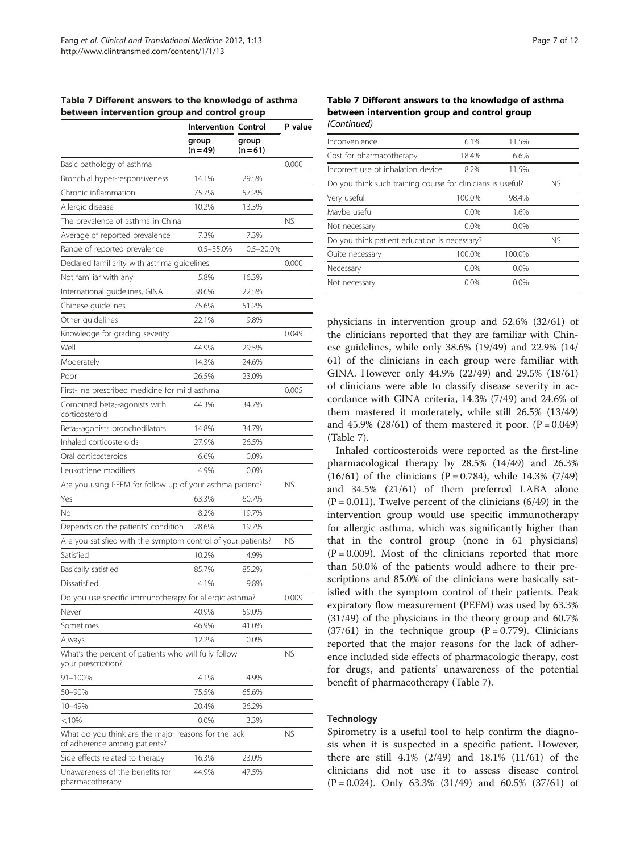<span id="page-6-0"></span>

|                                              |  | Table 7 Different answers to the knowledge of asthma |
|----------------------------------------------|--|------------------------------------------------------|
| between intervention group and control group |  |                                                      |

|                                                                                      | <b>Intervention Control</b> |                   | P value   |
|--------------------------------------------------------------------------------------|-----------------------------|-------------------|-----------|
|                                                                                      | group<br>$(n = 49)$         | group<br>$(n=61)$ |           |
| Basic pathology of asthma                                                            |                             |                   | 0.000     |
| Bronchial hyper-responsiveness                                                       | 14.1%                       | 29.5%             |           |
| Chronic inflammation                                                                 | 75.7%                       | 57.2%             |           |
| Allergic disease                                                                     | 10.2%                       | 13.3%             |           |
| The prevalence of asthma in China                                                    |                             |                   | <b>NS</b> |
| Average of reported prevalence                                                       | 7.3%                        | 7.3%              |           |
| Range of reported prevalence                                                         | $0.5 - 35.0%$               | $0.5 - 20.0\%$    |           |
| Declared familiarity with asthma guidelines                                          |                             |                   | 0.000     |
| Not familiar with any                                                                | 5.8%                        | 16.3%             |           |
| International guidelines, GINA                                                       | 38.6%                       | 22.5%             |           |
| Chinese guidelines                                                                   | 75.6%                       | 51.2%             |           |
| Other guidelines                                                                     | 22.1%                       | 9.8%              |           |
| Knowledge for grading severity                                                       |                             |                   | 0.049     |
| Well                                                                                 | 44.9%                       | 29.5%             |           |
| Moderately                                                                           | 14.3%                       | 24.6%             |           |
| Poor                                                                                 | 26.5%                       | 23.0%             |           |
| First-line prescribed medicine for mild asthma                                       |                             |                   | 0.005     |
| Combined beta <sub>2</sub> -agonists with<br>corticosteroid                          | 44.3%                       | 34.7%             |           |
| Beta <sub>2</sub> -agonists bronchodilators                                          | 14.8%                       | 34.7%             |           |
| Inhaled corticosteroids                                                              | 27.9%                       | 26.5%             |           |
| Oral corticosteroids                                                                 | 6.6%                        | 0.0%              |           |
| Leukotriene modifiers                                                                | 4.9%                        | 0.0%              |           |
| Are you using PEFM for follow up of your asthma patient?                             |                             |                   | <b>NS</b> |
| Yes                                                                                  | 63.3%                       | 60.7%             |           |
| No                                                                                   | 8.2%                        | 19.7%             |           |
| Depends on the patients' condition                                                   | 28.6%                       | 19.7%             |           |
| Are you satisfied with the symptom control of your patients?                         |                             |                   | <b>NS</b> |
| Satisfied                                                                            | 10.2%                       | 4.9%              |           |
| Basically satisfied                                                                  | 85.7%                       | 85.2%             |           |
| Dissatisfied                                                                         | 4.1%                        | 9.8%              |           |
| Do you use specific immunotherapy for allergic asthma?                               |                             |                   | 0.009     |
| Never                                                                                | 40.9%                       | 59.0%             |           |
| Sometimes                                                                            | 46.9%                       | 41.0%             |           |
| Always                                                                               | 12.2%                       | 0.0%              |           |
| What's the percent of patients who will fully follow<br>your prescription?           |                             |                   | NS        |
| 91-100%                                                                              | 4.1%                        | 4.9%              |           |
| 50-90%                                                                               | 75.5%                       | 65.6%             |           |
| 10-49%                                                                               | 20.4%                       | 26.2%             |           |
| $<$ 10%                                                                              | 0.0%                        | 3.3%              |           |
| What do you think are the major reasons for the lack<br>of adherence among patients? |                             |                   | ΝS        |
| Side effects related to therapy                                                      | 16.3%                       | 23.0%             |           |
| Unawareness of the benefits for<br>pharmacotherapy                                   | 44.9%                       | 47.5%             |           |

#### Table 7 Different answers to the knowledge of asthma between intervention group and control group (Continued)

| Inconvenience                                               | 6.1%    | 11.5%   |           |
|-------------------------------------------------------------|---------|---------|-----------|
| Cost for pharmacotherapy                                    | 18.4%   | 6.6%    |           |
| Incorrect use of inhalation device                          | 8.2%    | 11.5%   |           |
| Do you think such training course for clinicians is useful? |         |         | <b>NS</b> |
| Very useful                                                 | 100.0%  | 98.4%   |           |
| Maybe useful                                                | $0.0\%$ | 1.6%    |           |
| Not necessary                                               | $0.0\%$ | $0.0\%$ |           |
| Do you think patient education is necessary?                |         |         | <b>NS</b> |
| Quite necessary                                             | 100.0%  | 100.0%  |           |
| Necessary                                                   | $0.0\%$ | $0.0\%$ |           |
| Not necessary                                               | $0.0\%$ | $0.0\%$ |           |
|                                                             |         |         |           |

physicians in intervention group and 52.6% (32/61) of the clinicians reported that they are familiar with Chinese guidelines, while only 38.6% (19/49) and 22.9% (14/ 61) of the clinicians in each group were familiar with GINA. However only 44.9% (22/49) and 29.5% (18/61) of clinicians were able to classify disease severity in accordance with GINA criteria, 14.3% (7/49) and 24.6% of them mastered it moderately, while still 26.5% (13/49) and 45.9% (28/61) of them mastered it poor.  $(P = 0.049)$ (Table 7).

Inhaled corticosteroids were reported as the first-line pharmacological therapy by 28.5% (14/49) and 26.3%  $(16/61)$  of the clinicians  $(P = 0.784)$ , while 14.3%  $(7/49)$ and 34.5% (21/61) of them preferred LABA alone  $(P = 0.011)$ . Twelve percent of the clinicians  $(6/49)$  in the intervention group would use specific immunotherapy for allergic asthma, which was significantly higher than that in the control group (none in 61 physicians)  $(P = 0.009)$ . Most of the clinicians reported that more than 50.0% of the patients would adhere to their prescriptions and 85.0% of the clinicians were basically satisfied with the symptom control of their patients. Peak expiratory flow measurement (PEFM) was used by 63.3% (31/49) of the physicians in the theory group and 60.7%  $(37/61)$  in the technique group  $(P = 0.779)$ . Clinicians reported that the major reasons for the lack of adherence included side effects of pharmacologic therapy, cost for drugs, and patients' unawareness of the potential benefit of pharmacotherapy (Table 7).

# **Technology**

Spirometry is a useful tool to help confirm the diagnosis when it is suspected in a specific patient. However, there are still 4.1% (2/49) and 18.1% (11/61) of the clinicians did not use it to assess disease control  $(P = 0.024)$ . Only 63.3%  $(31/49)$  and 60.5%  $(37/61)$  of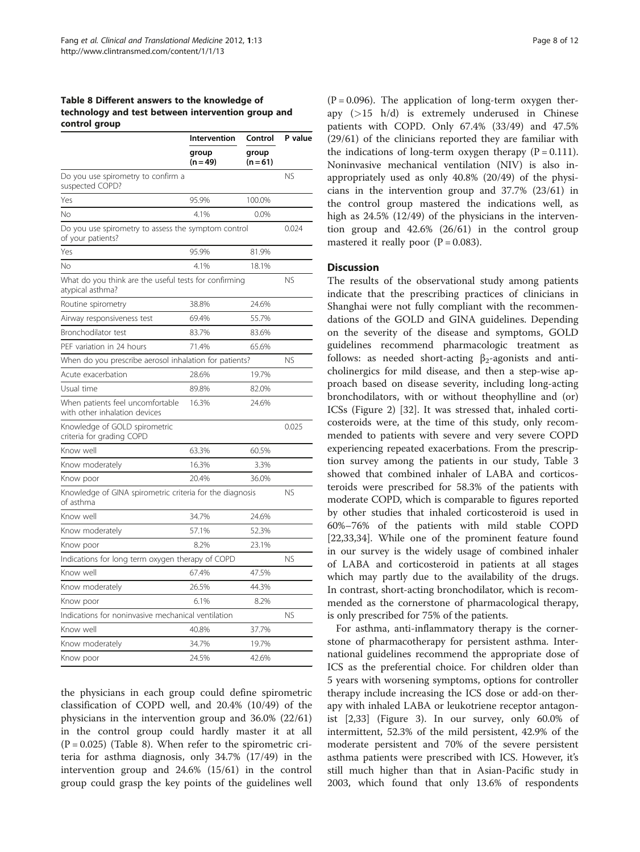## <span id="page-7-0"></span>Table 8 Different answers to the knowledge of technology and test between intervention group and control group

|                                                                           | Intervention      | Control           | P value   |
|---------------------------------------------------------------------------|-------------------|-------------------|-----------|
|                                                                           | group<br>(n = 49) | group<br>$(n=61)$ |           |
| Do you use spirometry to confirm a<br>suspected COPD?                     |                   |                   | <b>NS</b> |
| Yes                                                                       | 95.9%             | 100.0%            |           |
| No                                                                        | 4.1%              | 0.0%              |           |
| Do you use spirometry to assess the symptom control<br>of your patients?  |                   |                   | 0.024     |
| Yes                                                                       | 95.9%             | 81.9%             |           |
| Νo                                                                        | 4.1%              | 18.1%             |           |
| What do you think are the useful tests for confirming<br>atypical asthma? |                   |                   | <b>NS</b> |
| Routine spirometry                                                        | 38.8%             | 24.6%             |           |
| Airway responsiveness test                                                | 69.4%             | 55.7%             |           |
| Bronchodilator test                                                       | 83.7%             | 83.6%             |           |
| PEF variation in 24 hours                                                 | 71.4%             | 65.6%             |           |
| When do you prescribe aerosol inhalation for patients?                    |                   |                   | <b>NS</b> |
| Acute exacerbation                                                        | 28.6%             | 19.7%             |           |
| Usual time                                                                | 89.8%             | 82.0%             |           |
| When patients feel uncomfortable<br>with other inhalation devices         | 16.3%             | 24.6%             |           |
| Knowledge of GOLD spirometric<br>criteria for grading COPD                |                   |                   | 0.025     |
| Know well                                                                 | 63.3%             | 60.5%             |           |
| Know moderately                                                           | 16.3%             | 3.3%              |           |
| Know poor                                                                 | 20.4%             | 36.0%             |           |
| Knowledge of GINA spirometric criteria for the diagnosis<br>of asthma     |                   |                   | <b>NS</b> |
| Know well                                                                 | 34.7%             | 24.6%             |           |
| Know moderately                                                           | 57.1%             | 52.3%             |           |
| Know poor                                                                 | 8.2%              | 23.1%             |           |
| Indications for long term oxygen therapy of COPD                          |                   |                   | <b>NS</b> |
| Know well                                                                 | 67.4%             | 47.5%             |           |
| Know moderately                                                           | 26.5%             | 44.3%             |           |
| Know poor                                                                 | 6.1%              | 8.2%              |           |
| Indications for noninvasive mechanical ventilation                        |                   |                   | <b>NS</b> |
| Know well                                                                 | 40.8%             | 37.7%             |           |
| Know moderately                                                           | 34.7%             | 19.7%             |           |
| Know poor                                                                 | 24.5%             | 42.6%             |           |

the physicians in each group could define spirometric classification of COPD well, and 20.4% (10/49) of the physicians in the intervention group and 36.0% (22/61) in the control group could hardly master it at all  $(P = 0.025)$  (Table 8). When refer to the spirometric criteria for asthma diagnosis, only 34.7% (17/49) in the intervention group and 24.6% (15/61) in the control group could grasp the key points of the guidelines well

 $(P = 0.096)$ . The application of long-term oxygen therapy  $(>15 \text{ h/d})$  is extremely underused in Chinese patients with COPD. Only 67.4% (33/49) and 47.5% (29/61) of the clinicians reported they are familiar with the indications of long-term oxygen therapy  $(P = 0.111)$ . Noninvasive mechanical ventilation (NIV) is also inappropriately used as only 40.8% (20/49) of the physicians in the intervention group and 37.7% (23/61) in the control group mastered the indications well, as high as 24.5% (12/49) of the physicians in the intervention group and 42.6% (26/61) in the control group mastered it really poor  $(P = 0.083)$ .

# **Discussion**

The results of the observational study among patients indicate that the prescribing practices of clinicians in Shanghai were not fully compliant with the recommendations of the GOLD and GINA guidelines. Depending on the severity of the disease and symptoms, GOLD guidelines recommend pharmacologic treatment as follows: as needed short-acting  $\beta_2$ -agonists and anticholinergics for mild disease, and then a step-wise approach based on disease severity, including long-acting bronchodilators, with or without theophylline and (or) ICSs (Figure [2](#page-8-0)) [\[32](#page-11-0)]. It was stressed that, inhaled corticosteroids were, at the time of this study, only recommended to patients with severe and very severe COPD experiencing repeated exacerbations. From the prescription survey among the patients in our study, Table [3](#page-3-0) showed that combined inhaler of LABA and corticosteroids were prescribed for 58.3% of the patients with moderate COPD, which is comparable to figures reported by other studies that inhaled corticosteroid is used in 60%–76% of the patients with mild stable COPD [[22,33,34\]](#page-11-0). While one of the prominent feature found in our survey is the widely usage of combined inhaler of LABA and corticosteroid in patients at all stages which may partly due to the availability of the drugs. In contrast, short-acting bronchodilator, which is recommended as the cornerstone of pharmacological therapy, is only prescribed for 75% of the patients.

For asthma, anti-inflammatory therapy is the cornerstone of pharmacotherapy for persistent asthma. International guidelines recommend the appropriate dose of ICS as the preferential choice. For children older than 5 years with worsening symptoms, options for controller therapy include increasing the ICS dose or add-on therapy with inhaled LABA or leukotriene receptor antagonist [\[2](#page-10-0)[,33](#page-11-0)] (Figure [3\)](#page-9-0). In our survey, only 60.0% of intermittent, 52.3% of the mild persistent, 42.9% of the moderate persistent and 70% of the severe persistent asthma patients were prescribed with ICS. However, it's still much higher than that in Asian-Pacific study in 2003, which found that only 13.6% of respondents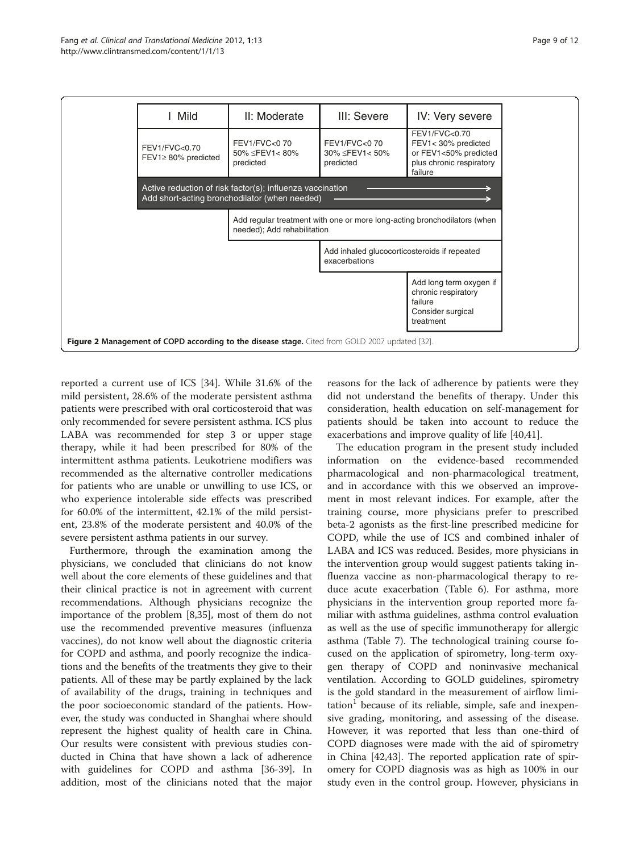<span id="page-8-0"></span>

reported a current use of ICS [[34\]](#page-11-0). While 31.6% of the mild persistent, 28.6% of the moderate persistent asthma patients were prescribed with oral corticosteroid that was only recommended for severe persistent asthma. ICS plus LABA was recommended for step 3 or upper stage therapy, while it had been prescribed for 80% of the intermittent asthma patients. Leukotriene modifiers was recommended as the alternative controller medications for patients who are unable or unwilling to use ICS, or who experience intolerable side effects was prescribed for 60.0% of the intermittent, 42.1% of the mild persistent, 23.8% of the moderate persistent and 40.0% of the severe persistent asthma patients in our survey.

Furthermore, through the examination among the physicians, we concluded that clinicians do not know well about the core elements of these guidelines and that their clinical practice is not in agreement with current recommendations. Although physicians recognize the importance of the problem [\[8](#page-10-0)[,35](#page-11-0)], most of them do not use the recommended preventive measures (influenza vaccines), do not know well about the diagnostic criteria for COPD and asthma, and poorly recognize the indications and the benefits of the treatments they give to their patients. All of these may be partly explained by the lack of availability of the drugs, training in techniques and the poor socioeconomic standard of the patients. However, the study was conducted in Shanghai where should represent the highest quality of health care in China. Our results were consistent with previous studies conducted in China that have shown a lack of adherence with guidelines for COPD and asthma [[36-39](#page-11-0)]. In addition, most of the clinicians noted that the major

reasons for the lack of adherence by patients were they did not understand the benefits of therapy. Under this consideration, health education on self-management for patients should be taken into account to reduce the exacerbations and improve quality of life [[40,41\]](#page-11-0).

The education program in the present study included information on the evidence-based recommended pharmacological and non-pharmacological treatment, and in accordance with this we observed an improvement in most relevant indices. For example, after the training course, more physicians prefer to prescribed beta-2 agonists as the first-line prescribed medicine for COPD, while the use of ICS and combined inhaler of LABA and ICS was reduced. Besides, more physicians in the intervention group would suggest patients taking influenza vaccine as non-pharmacological therapy to reduce acute exacerbation (Table [6\)](#page-5-0). For asthma, more physicians in the intervention group reported more familiar with asthma guidelines, asthma control evaluation as well as the use of specific immunotherapy for allergic asthma (Table [7](#page-6-0)). The technological training course focused on the application of spirometry, long-term oxygen therapy of COPD and noninvasive mechanical ventilation. According to GOLD guidelines, spirometry is the gold standard in the measurement of airflow limi $tation<sup>1</sup>$  because of its reliable, simple, safe and inexpensive grading, monitoring, and assessing of the disease. However, it was reported that less than one-third of COPD diagnoses were made with the aid of spirometry in China [\[42,43](#page-11-0)]. The reported application rate of spiromery for COPD diagnosis was as high as 100% in our study even in the control group. However, physicians in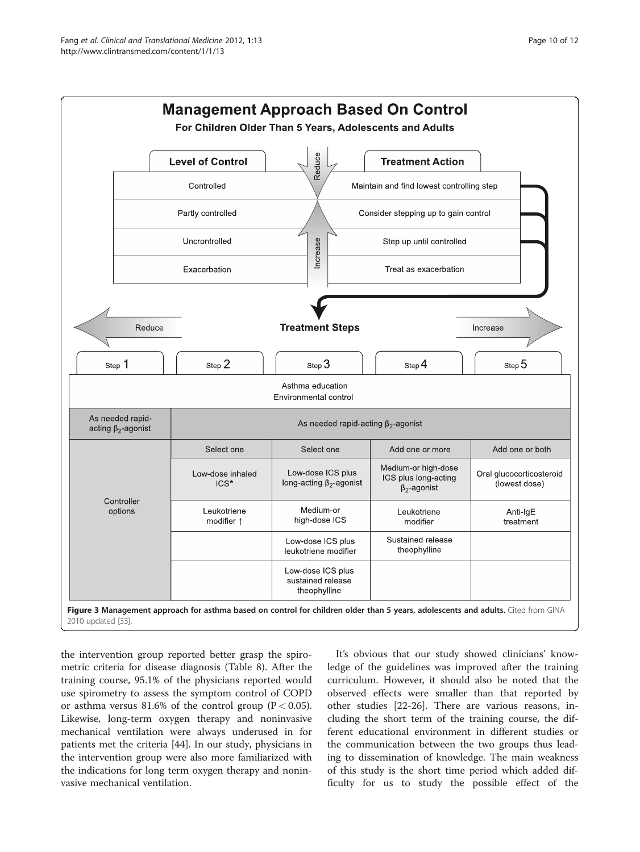<span id="page-9-0"></span>

the intervention group reported better grasp the spirometric criteria for disease diagnosis (Table [8](#page-7-0)). After the training course, 95.1% of the physicians reported would use spirometry to assess the symptom control of COPD or asthma versus 81.6% of the control group ( $P < 0.05$ ). Likewise, long-term oxygen therapy and noninvasive mechanical ventilation were always underused in for patients met the criteria [[44](#page-11-0)]. In our study, physicians in the intervention group were also more familiarized with the indications for long term oxygen therapy and noninvasive mechanical ventilation.

It's obvious that our study showed clinicians' knowledge of the guidelines was improved after the training curriculum. However, it should also be noted that the observed effects were smaller than that reported by other studies [[22](#page-11-0)-[26\]](#page-11-0). There are various reasons, including the short term of the training course, the different educational environment in different studies or the communication between the two groups thus leading to dissemination of knowledge. The main weakness of this study is the short time period which added difficulty for us to study the possible effect of the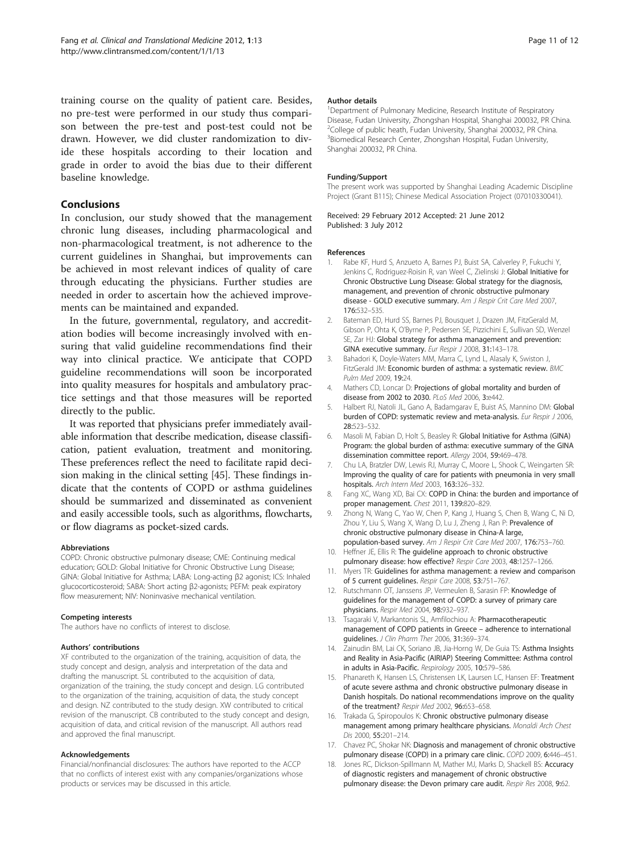<span id="page-10-0"></span>training course on the quality of patient care. Besides, no pre-test were performed in our study thus comparison between the pre-test and post-test could not be drawn. However, we did cluster randomization to divide these hospitals according to their location and grade in order to avoid the bias due to their different baseline knowledge.

# Conclusions

In conclusion, our study showed that the management chronic lung diseases, including pharmacological and non-pharmacological treatment, is not adherence to the current guidelines in Shanghai, but improvements can be achieved in most relevant indices of quality of care through educating the physicians. Further studies are needed in order to ascertain how the achieved improvements can be maintained and expanded.

In the future, governmental, regulatory, and accreditation bodies will become increasingly involved with ensuring that valid guideline recommendations find their way into clinical practice. We anticipate that COPD guideline recommendations will soon be incorporated into quality measures for hospitals and ambulatory practice settings and that those measures will be reported directly to the public.

It was reported that physicians prefer immediately available information that describe medication, disease classification, patient evaluation, treatment and monitoring. These preferences reflect the need to facilitate rapid decision making in the clinical setting [[45](#page-11-0)]. These findings indicate that the contents of COPD or asthma guidelines should be summarized and disseminated as convenient and easily accessible tools, such as algorithms, flowcharts, or flow diagrams as pocket-sized cards.

#### Abbreviations

COPD: Chronic obstructive pulmonary disease; CME: Continuing medical education; GOLD: Global Initiative for Chronic Obstructive Lung Disease; GINA: Global Initiative for Asthma; LABA: Long-acting β2 agonist; ICS: Inhaled glucocorticosteroid; SABA: Short acting β2-agonists; PEFM: peak expiratory flow measurement; NIV: Noninvasive mechanical ventilation.

#### Competing interests

The authors have no conflicts of interest to disclose.

#### Authors' contributions

XF contributed to the organization of the training, acquisition of data, the study concept and design, analysis and interpretation of the data and drafting the manuscript. SL contributed to the acquisition of data, organization of the training, the study concept and design. LG contributed to the organization of the training, acquisition of data, the study concept and design. NZ contributed to the study design. XW contributed to critical revision of the manuscript. CB contributed to the study concept and design, acquisition of data, and critical revision of the manuscript. All authors read and approved the final manuscript.

#### Acknowledgements

Financial/nonfinancial disclosures: The authors have reported to the ACCP that no conflicts of interest exist with any companies/organizations whose products or services may be discussed in this article.

#### Author details

<sup>1</sup>Department of Pulmonary Medicine, Research Institute of Respiratory Disease, Fudan University, Zhongshan Hospital, Shanghai 200032, PR China. <sup>2</sup>College of public heath, Fudan University, Shanghai 200032, PR China. 3 Biomedical Research Center, Zhongshan Hospital, Fudan University, Shanghai 200032, PR China.

#### Funding/Support

The present work was supported by Shanghai Leading Academic Discipline Project (Grant B115); Chinese Medical Association Project (07010330041).

Received: 29 February 2012 Accepted: 21 June 2012 Published: 3 July 2012

#### References

- 1. Rabe KF, Hurd S, Anzueto A, Barnes PJ, Buist SA, Calverley P, Fukuchi Y, Jenkins C, Rodriguez-Roisin R, van Weel C, Zielinski J: Global Initiative for Chronic Obstructive Lung Disease: Global strategy for the diagnosis, management, and prevention of chronic obstructive pulmonary disease - GOLD executive summary. Am J Respir Crit Care Med 2007, 176:532–535.
- 2. Bateman ED, Hurd SS, Barnes PJ, Bousquet J, Drazen JM, FitzGerald M, Gibson P, Ohta K, O'Byrne P, Pedersen SE, Pizzichini E, Sullivan SD, Wenzel SE, Zar HJ: Global strategy for asthma management and prevention: GINA executive summary. Eur Respir J 2008, 31:143–178.
- 3. Bahadori K, Doyle-Waters MM, Marra C, Lynd L, Alasaly K, Swiston J, FitzGerald JM: Economic burden of asthma: a systematic review. BMC Pulm Med 2009, 19:24.
- 4. Mathers CD, Loncar D: Projections of global mortality and burden of disease from 2002 to 2030. PLoS Med 2006, 3:e442.
- 5. Halbert RJ, Natoli JL, Gano A, Badamgarav E, Buist AS, Mannino DM: Global burden of COPD: systematic review and meta-analysis. Eur Respir J 2006, 28:523–532.
- 6. Masoli M, Fabian D, Holt S, Beasley R: Global Initiative for Asthma (GINA) Program: the global burden of asthma: executive summary of the GINA dissemination committee report. Allergy 2004, 59:469–478.
- 7. Chu LA, Bratzler DW, Lewis RJ, Murray C, Moore L, Shook C, Weingarten SR: Improving the quality of care for patients with pneumonia in very small hospitals. Arch Intern Med 2003, 163:326–332.
- 8. Fang XC, Wang XD, Bai CX: COPD in China: the burden and importance of proper management. Chest 2011, 139:820–829.
- 9. Zhong N, Wang C, Yao W, Chen P, Kang J, Huang S, Chen B, Wang C, Ni D, Zhou Y, Liu S, Wang X, Wang D, Lu J, Zheng J, Ran P: Prevalence of chronic obstructive pulmonary disease in China-A large, population-based survey. Am J Respir Crit Care Med 2007, 176:753–760.
- 10. Heffner JE, Ellis R: The quideline approach to chronic obstructive pulmonary disease: how effective? Respir Care 2003, 48:1257-1266
- 11. Myers TR: Guidelines for asthma management: a review and comparison of 5 current guidelines. Respir Care 2008, 53:751–767.
- 12. Rutschmann OT, Janssens JP, Vermeulen B, Sarasin FP: Knowledge of guidelines for the management of COPD: a survey of primary care physicians. Respir Med 2004, 98:932–937.
- 13. Tsagaraki V, Markantonis SL, Amfilochiou A: Pharmacotherapeutic management of COPD patients in Greece – adherence to international guidelines. J Clin Pharm Ther 2006, 31:369–374.
- 14. Zainudin BM, Lai CK, Soriano JB, Jia-Horng W, De Guia TS: Asthma Insights and Reality in Asia-Pacific (AIRIAP) Steering Committee: Asthma control in adults in Asia-Pacific. Respirology 2005, 10:579–586.
- 15. Phanareth K, Hansen LS, Christensen LK, Laursen LC, Hansen EF: Treatment of acute severe asthma and chronic obstructive pulmonary disease in Danish hospitals. Do national recommendations improve on the quality of the treatment? Respir Med 2002, 96:653–658.
- 16. Trakada G, Spiropoulos K: Chronic obstructive pulmonary disease management among primary healthcare physicians. Monaldi Arch Chest Dis 2000, 55:201–214.
- 17. Chavez PC, Shokar NK: Diagnosis and management of chronic obstructive pulmonary disease (COPD) in a primary care clinic. COPD 2009, 6:446–451.
- 18. Jones RC, Dickson-Spillmann M, Mather MJ, Marks D, Shackell BS: Accuracy of diagnostic registers and management of chronic obstructive pulmonary disease: the Devon primary care audit. Respir Res 2008, 9:62.